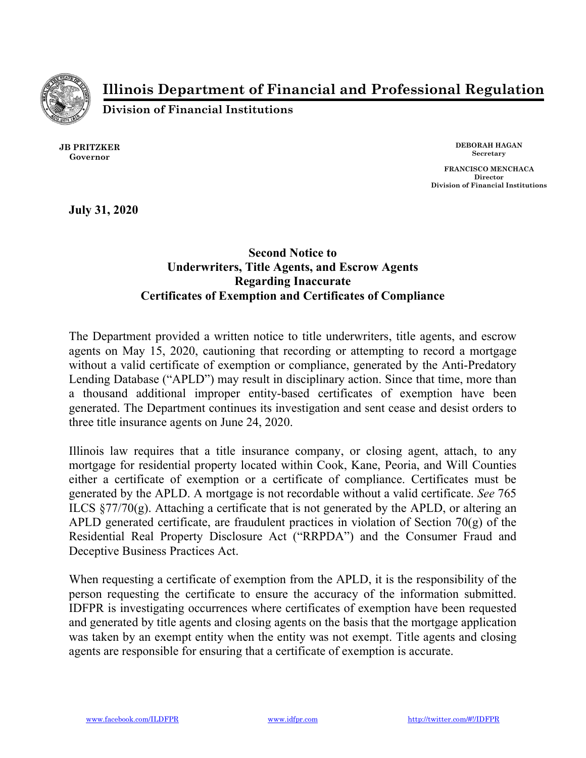

**Illinois Department of Financial and Professional Regulation**

**Division of Financial Institutions**

**JB PRITZKER Governor**

**DEBORAH HAGAN Secretary**

**FRANCISCO MENCHACA Director Division of Financial Institutions**

**July 31, 2020**

## **Second Notice to Underwriters, Title Agents, and Escrow Agents Regarding Inaccurate Certificates of Exemption and Certificates of Compliance**

The Department provided a written notice to title underwriters, title agents, and escrow agents on May 15, 2020, cautioning that recording or attempting to record a mortgage without a valid certificate of exemption or compliance, generated by the Anti-Predatory Lending Database ("APLD") may result in disciplinary action. Since that time, more than a thousand additional improper entity-based certificates of exemption have been generated. The Department continues its investigation and sent cease and desist orders to three title insurance agents on June 24, 2020.

Illinois law requires that a title insurance company, or closing agent, attach, to any mortgage for residential property located within Cook, Kane, Peoria, and Will Counties either a certificate of exemption or a certificate of compliance. Certificates must be generated by the APLD. A mortgage is not recordable without a valid certificate. *See* 765 ILCS  $\S77/70(g)$ . Attaching a certificate that is not generated by the APLD, or altering an APLD generated certificate, are fraudulent practices in violation of Section 70(g) of the Residential Real Property Disclosure Act ("RRPDA") and the Consumer Fraud and Deceptive Business Practices Act.

When requesting a certificate of exemption from the APLD, it is the responsibility of the person requesting the certificate to ensure the accuracy of the information submitted. IDFPR is investigating occurrences where certificates of exemption have been requested and generated by title agents and closing agents on the basis that the mortgage application was taken by an exempt entity when the entity was not exempt. Title agents and closing agents are responsible for ensuring that a certificate of exemption is accurate.